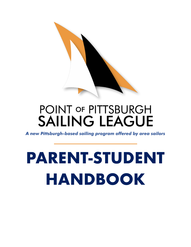

## POINT OF PITTSBURGH **SAILING LEAGUE**

*A new Pittsburgh-based sailing program offered by area sailors*

# **PARENT-STUDENT HANDBOOK**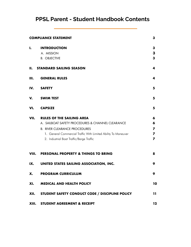### **PPSL Parent - Student Handbook Contents**

| <b>COMPLIANCE STATEMENT</b><br>3 |                                                                |         |
|----------------------------------|----------------------------------------------------------------|---------|
| I.                               | <b>INTRODUCTION</b>                                            | 3       |
|                                  | A. MISSION                                                     | 3       |
|                                  | <b>B. OBJECTIVE</b>                                            | 3       |
|                                  | <b>II. STANDARD SAILING SEASON</b>                             | 4       |
| Ш.                               | <b>GENERAL RULES</b>                                           | 4       |
| IV.                              | <b>SAFETY</b>                                                  | 5       |
| V.                               | <b>SWIM TEST</b>                                               | 5       |
| VI.                              | <b>CAPSIZE</b>                                                 | 5       |
| VII.                             | <b>RULES OF THE SAILING AREA</b>                               | 6       |
|                                  | A. SAILBOAT SAFETY PROCEDURES & CHANNEL CLEARANCE              | 6       |
|                                  | <b>B. RIVER CLEARANCE PROCEDURES</b>                           | 7       |
|                                  | 1. General Commercial Traffic With Limited Ability To Maneuver | 7       |
|                                  | 2. Industrial Boat Traffic/Barge Traffic                       | 7       |
| VIII.                            | <b>PERSONAL PROPERTY &amp; THINGS TO BRING</b>                 | 8       |
| IX.                              | UNITED STATES SAILING ASSOCIATION, INC.                        | 9       |
| X.                               | <b>PROGRAM CURRICULUM</b>                                      | 9       |
| XI.                              | <b>MEDICAL AND HEALTH POLICY</b>                               | 10      |
| XII.                             | STUDENT SAFETY CONDUCT CODE / DISCIPLINE POLICY                | 11      |
|                                  | XIII. STUDENT AGREEMENT & RECEIPT                              | $12 \,$ |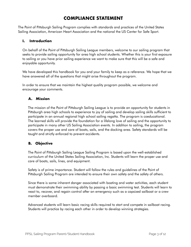#### **COMPLIANCE STATEMENT**

The Point of Pittsburgh Sailing Program complies with standards and practices of the United States Sailing Association, American Heart Association and the national the US Center for Safe Sport.

#### **I. Introduction**

On behalf of the Point of Pittsburgh Sailing League members, welcome to our sailing program that seeks to provide sailing opportunity for area high school students. Whether this is your first exposure to sailing or you have prior sailing experience we want to make sure that this will be a safe and enjoyable opportunity.

We have developed this handbook for you and your family to keep as a reference. We hope that we have answered all of the questions that might arise throughout the program.

In order to ensure that we maintain the highest quality program possible, we welcome and encourage your comments.

#### **A. Mission**

The mission of the Point of Pittsburgh Sailing League is to provide an opportunity for students in Pittsburgh area high schools to experience to joy of sailing and develop sailing skills sufficient to participate in an annual regional high school sailing regatta. The program is coeducational. The learned skills will provide the foundation for a lifelong love of sailing and the opportunity to participate in many other US Sailing Association events. In addition to sailing, the program covers the proper use and care of boats, sails, and the docking area. Safety standards will be taught and strictly enforced to prevent accidents.

#### **B. Objective**

The Point of Pittsburgh Sailing League Sailing Program is based upon the well-established curriculum of the United States Sailing Association, Inc. Students will learn the proper use and care of boats, sails, lines, and equipment.

Safety is of prime importance. Student will follow the rules and guidelines of the Point of Pittsburgh Sailing Program are intended to ensure their own safety and the safety of others.

Since there is some inherent danger associated with boating and water activities, each student must demonstrate their swimming ability by passing a basic swimming test. Students will learn to react to, recover, and regain control after an emergency such as a capsized sailboat or a crew member overboard.

Advanced students will learn basic racing skills required to start and compete in sailboat racing. Students will practice by racing each other in order to develop winning strategies.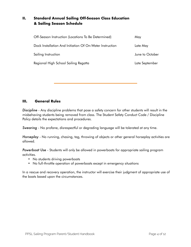#### **II. Standard Annual Sailing Off-Season Class Education & Sailing Season Schedule**

| Off-Season Instruction (Locations To Be Determined)      | May             |
|----------------------------------------------------------|-----------------|
| Dock Installation And Initiation Of On-Water Instruction | Late May        |
| Sailing Instruction                                      | June to October |
| Regional High School Sailing Regatta                     | Late September  |

#### **III. General Rules**

*Discipline* - Any discipline problems that pose a safety concern for other students will result in the misbehaving students being removed from class. The Student Safety Conduct Code / Discipline Policy details the expectations and procedures.

*Swearing* - No profane, disrespectful or degrading language will be tolerated at any time.

*Horseplay* - No running, chasing, tag, throwing of objects or other general horseplay activities are allowed.

*Powerboat Use* - Students will only be allowed in powerboats for appropriate sailing program activities.

- No students driving powerboats
- No full-throttle operation of powerboats except in emergency situations

In a rescue and recovery operation, the instructor will exercise their judgment of appropriate use of the boats based upon the circumstances.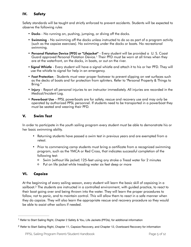#### **IV. Safety**

Safety standards will be taught and strictly enforced to prevent accidents. Students will be expected to observe the following rules

- Docks No running on, pushing, jumping, or diving off the docks.
- Swimming No swimming off the docks unless instructed to do so as part of a program activity (such as the capsize exercises). No swimming under the docks or boats. No recreational swimming.
- <span id="page-4-2"></span>• Personal Flotation Device (PFD) or "Lifejacket" - Every student will be provided a U. S. Coast Guard approved Personal Flotation Device[.](#page-4-0)<sup>[1](#page-4-0)</sup> Their PFD must be worn at all times when they are at the waterfront, on the docks, in boats, or out on the river.
- Signal Whistle Every student will have a signal whistle and attach it to his or her PFD. They will use the whistle to signal for help in an emergency.
- Foot Protection Students must wear proper footwear to prevent slipping on wet surfaces such as the decks of boats and for protection from splinters. Refer to "Personal Property & Things to Bring."
- Injury Report all personal injuries to an instructor immediately. All injuries are recorded in the Medical/Incident Log.
- Powerboat Use PPSL powerboats are for safety, rescue and recovery use and may only be operated by authorized PPSL personnel. If students need to be transported in a powerboat they must be seated and wearing their PFD.

#### **V. Swim Test**

In order to participate in the youth sailing program every student must be able to demonstrate his or her basic swimming ability.

- Returning students have passed a swim test in previous years and are exempted from a retest.
- Prior to commencing camp students must bring a certificate from a recognized swimming program, such as the YMCA or Red Cross, that indicates successful completion of the following test:
	- Swim (without life jacket) 125-feet using any stroke o Tread water for 2 minutes
	- Put on life jacket while treading water six feet deep or more

#### **VI. Capsize**

<span id="page-4-3"></span>At the beginning of every sailing season, every student will learn the basic skill of capsizing in a sailboat.<sup>[2](#page-4-1)</sup> The students are instructed in a controlled environment, with guided practice, to react to their boat going over and being thrown into the water. They will learn the proper procedures to follow, not to panic, and to maintain control. This will allow them to react in a safe manner when they do capsize. They will also learn the appropriate rescue and recovery procedure so they would be able to assist other sailors if needed.

<span id="page-4-0"></span><sup>&</sup>lt;sup>[1](#page-4-2)</sup> Refer to Start Sailing Right, Chapter 2 Safety & You, Life Jackets (PFDs), for additional information

<span id="page-4-1"></span><sup>&</sup>lt;sup>[2](#page-4-3)</sup> Refer to Start Sailing Right, Chapter 11, Capsize Recovery, and Chapter 12, Overboard Recovery for information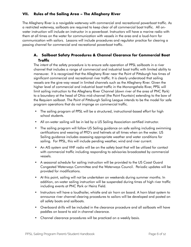#### **VII. Rules of the Sailing Area – The Allegheny River**

The Allegheny River is a navigable waterway with commercial and recreational powerboat traffic. As a restricted waterway, sailboats are required to keep clear of all commercial boat traffic. All onwater instruction will include an instructor in a powerboat. Instructors will have a marine radio with them at all times on the water for communication with vessels in the area and a loud-horn for communication with sailors. Lessons will include procedures and regulator practice for clearing a passing channel for commercial and recreational powerboat traffic.

#### **A. Sailboat Safety Procedures & Channel Clearance for Commercial Boat Traffic**

The intent of the safety procedure is to ensure safe operation of PPSL sailboats in a river channel that includes a range of commercial and industrial boat traffic with limited ability to maneuver. It is recognized that the Allegheny River near the Point of Pittsburgh has times of significant commercial and recreational river traffic. It is clearly understood that sailing vessels are the give-way vessel in limited channels such as the Allegheny River. Given the higher level of commercial and industrial boat traffic in the Monongahela River, PPSL will limit sailing instruction to the Allegheny River Channel (down river of the area of PNC Park) to a boundary at the head of Ohio mid-channel (the Point Fountain) extending to the bow of the Requiem sailboat. The Point of Pittsburgh Sailing League intends to be the model for safe program operations that do not impinge on commercial traffic.

- The sailing program of PPSL will be a structured, instructional-based effort for high school students.
- All on-water sailing will be in led by a US Sailing Association certified instructor.
- The sailing program will follow US Sailing guidance on safe sailing including swimming certifications and wearing of PFD's and helmets at all times when on the water. US Sailing guidance includes assessing appropriate weather and water conditions for sailing. For PPSL, this will include pending weather, wind and river current.
- An AIS system and VHF radio will be on the safety boat that will be utilized for contact with commercial traffic including responding to advisories broadcasted by commercial vessels.
- A seasonal schedule for sailing instruction will be provided to the US Coast Guard Congested Waterways Committee and the Waterways Council. Periodic updates will be provided for modifications.
- At this point, sailing will not be undertaken on weekends during summer months. In addition, on-water sailing instruction will be suspended during times of high river traffic including events at PNC Park or Heinz Field.
- Instructors will have a loudhailer, whistle and air horn on board. A horn blast system to announce river channel clearing procedures to sailors will be developed and posted on all safety boats and sailboats.
- Overboard drills will be included in the clearance procedure and all sailboats will have paddles on board to aid in channel clearance.
- Channel clearance procedures will be practiced on a weekly basis.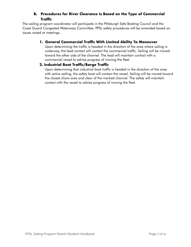#### **B. Procedures for River Clearance Is Based on the Type of Commercial Traffic**

The sailing program coordinator will participate in the Pittsburgh Safe Boating Council and the Coast Guard Congested Waterways Committee. PPSL safety procedures will be amended based on issues raised at meetings.

#### **1. General Commercial Traffic With Limited Ability To Maneuver**

Upon determining the traffic is headed in the direction of the area where sailing is underway, the lead contact will contact the commercial traffic. Sailing will be moved toward the other side of the channel. The lead will maintain contact with a commercial vessel to advise progress of moving the fleet.

#### **2. Industrial Boat Traffic/Barge Traffic**

Upon determining that industrial boat traffic is headed in the direction of the area with active sailing, the safety boat will contact the vessel. Sailing will be moved toward the closest shore area and clear of the marked channel. The safety will maintain contact with the vessel to advise progress of moving the fleet.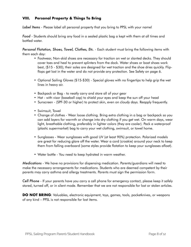#### **VIII. Personal Property & Things To Bring**

*Label Items* - Please label all personal property that you bring to PPSL with your name!

*Food* - Students should bring any food in a sealed plastic bag a kept with them at all times and bottled water.

*Personal Flotation, Shoes, Towel, Clothes, Etc*. - Each student must bring the following items with them each day:

- Footwear, Non-skid shoes are necessary for traction on wet or slanted decks. They should cover toes and heal to prevent splinters from the dock. Water shoes or boat shoes work best, (\$15 - \$30); their soles are designed for wet traction and the shoe dries quickly. Flipflops get lost in the water and do not provide any protection. See Safety on page 6.
- Optional Sailing Gloves (\$15-\$30) Special gloves with no fingertips to help grip the wet lines in heavy air.
- Backpack or Bag to neatly carry and store all of your gear
- Hat with visor (baseball cap) to shield your eyes and keep the sun off your head
- Sunscreen (SPF-30 or higher) to protect skin, even on cloudy days. Reapply frequently.
- Swimsuit, Towel
- Change of clothes Wear loose clothing. Bring extra clothing in a bag or backpack so you can add layers for warmth or change into dry clothing if you get wet. On warm days, wear light, breathable clothing, preferably in lighter colors (they are cooler). Pack a waterproof (plastic supermarket) bag to carry your wet clothing, swimsuit, or towel home.
- Sunglasses Wear sunglasses with good UV (at least 90%) protection. Polarized models are great for reducing glare off the water. Wear a cord (croakie) around your neck to keep them from falling overboard (some styles provide flotation to keep your sunglasses afloat).
- Water bottle You need to keep hydrated in warm weather.

*Medications* - We have no provisions for dispensing medication. Parents/guardians will need to make the necessary arrangements for medications. Students who are deemed competent by their parents may carry asthma and allergy treatments. Parents must sign the permission form.

*Cell Phone* - If your parents have you carry a cell phone for emergency contact, please keep it safely stored, turned off, or in silent mode. Remember that we are not responsible for lost or stolen articles.

**DO NOT BRING**: Valuables, electronic equipment, toys, games, tools, pocketknives, or weapons of any kind – PPSL is not responsible for lost items.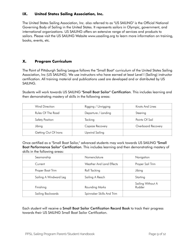#### **IX. United States Sailing Association, Inc.**

The United States Sailing Association, Inc. also referred to as "US SAILING" is the Official National Governing Body of Sailing in the United States. It represents sailors in Olympic, government, and international organizations. US SAILING offers an extensive range of services and products to sailors. Please visit the US SAILING Website www.ussailing.org to learn more information on training, books, events, etc.

#### **X. Program Curriculum**

The Point of Pittsburgh Sailing League follows the "Small Boat" curriculum of the United States Sailing Association, Inc (US SAILING). We use instructors who have earned at least Level I (Sailing) instructor certification. All training material and publications used are developed and or distributed by US SAILING.

Students will work towards US SAILING "Small Boat Sailor" Certification. This includes learning and then demonstrating mastery of skills in the following areas:

| Wind Direction       | Rigging / Unrigging | Knots And Lines    |
|----------------------|---------------------|--------------------|
| Rules Of The Road    | Departure / Landing | Steering           |
| Safety Position      | Tacking             | Points Of Sail     |
| Jibing               | Capsize Recovery    | Overboard Recovery |
| Getting Out Of Irons | Upwind Sailing      |                    |

Once certified as a "Small Boat Sailor," advanced students may work towards US SAILING "Small Boat Performance Sailor" Certification. This includes learning and then demonstrating mastery of skills in the following areas:

| Seamanship             | Nomenclature              | Navigation                  |
|------------------------|---------------------------|-----------------------------|
| Current                | Weather And Land Effects  | Proper Sail Trim            |
| Proper Boat Trim       | Roll Tacking              | Jibing                      |
| Sailing A Windward Leg | Sailing A Reach           | Starting                    |
| Finishing              | <b>Rounding Marks</b>     | Sailing Without A<br>Rudder |
| Sailing Backwards      | Spinnaker Skills And Trim |                             |

Each student will receive a Small Boat Sailor Certification Record Book to track their progress towards their US SAILING Small Boat Sailor Certification.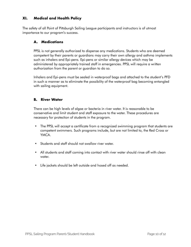#### **XI. Medical and Health Policy**

The safety of all Point of Pittsburgh Sailing League participants and instructors is of utmost importance to our program's success.

#### **A. Medications**

PPSL is not generally authorized to dispense any medications. Students who are deemed competent by their parents or guardians may carry their own allergy and asthma implements such as inhalers and Epi-pens. Epi-pens or similar allergy devices which may be administered by appropriately trained staff in emergencies. PPSL will require a written authorization from the parent or guardian to do so.

Inhalers and Epi-pens must be sealed in waterproof bags and attached to the student's PFD in such a manner as to eliminate the possibility of the waterproof bag becoming entangled with sailing equipment.

#### **B. River Water**

There can be high levels of algae or bacteria in river water. It is reasonable to be conservative and limit student and staff exposure to the water. These procedures are necessary for protection of students in the program.

- The PPSL will accept a certificate from a recognized swimming program that students are competent swimmers. Such programs include, but are not limited to, the Red Cross or YMCA.
- Students and staff should not swallow river water.
- All students and staff coming into contact with river water should rinse off with clean water.
- Life jackets should be left outside and hosed off as needed.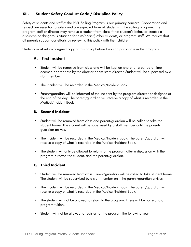#### **XII. Student Safety Conduct Code / Discipline Policy**

Safety of students and staff at the PPSL Sailing Program is our primary concern. Cooperation and respect are essential to safety and are expected from all students in the sailing program. The program staff or director may remove a student from class if that student's behavior creates a disruptive or dangerous situation for him/herself, other students, or program staff. We request that all parents support our efforts by reviewing this policy with their children.

Students must return a signed copy of this policy before they can participate in the program.

#### **A. First Incident**

- Student will be removed from class and will be kept on-shore for a period of time deemed appropriate by the director or assistant director. Student will be supervised by a staff member.
- The incident will be recorded in the Medical/Incident Book.
- Parent/guardian will be informed of the incident by the program director or designee at the end of the day. The parent/guardian will receive a copy of what is recorded in the Medical/Incident Book

#### **B. Second Incident**

- Student will be removed from class and parent/guardian will be called to take the student home. The student will be supervised by a staff member until the parent/ guardian arrives.
- The incident will be recorded in the Medical/Incident Book. The parent/guardian will receive a copy of what is recorded in the Medical/Incident Book.
- The student will only be allowed to return to the program after a discussion with the program director, the student, and the parent/guardian.

#### **C. Third Incident**

- Student will be removed from class. Parent/guardian will be called to take student home. The student will be supervised by a staff member until the parent/guardian arrives.
- The incident will be recorded in the Medical/Incident Book. The parent/guardian will receive a copy of what is recorded in the Medical/Incident Book.
- The student will not be allowed to return to the program. There will be no refund of program tuition.
- Student will not be allowed to register for the program the following year.